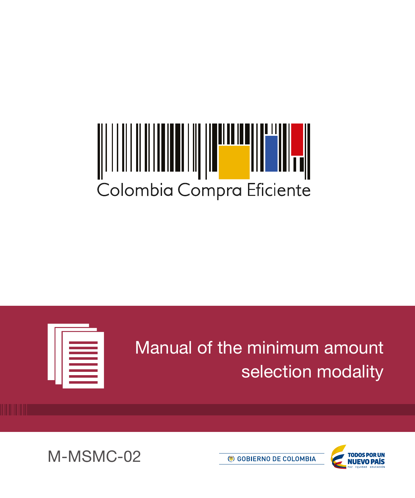# Colombia Compra Eficiente



Manual of the minimum amount selection modality





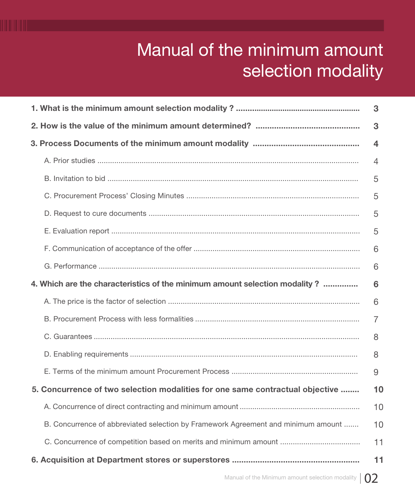## Manual of the minimum amount selection modality

| 3                                                                                 |                |  |
|-----------------------------------------------------------------------------------|----------------|--|
|                                                                                   | 3              |  |
|                                                                                   | 4              |  |
|                                                                                   | $\overline{4}$ |  |
|                                                                                   | 5              |  |
|                                                                                   | 5              |  |
|                                                                                   | 5              |  |
|                                                                                   | 5              |  |
|                                                                                   | 6              |  |
|                                                                                   | 6              |  |
| 4. Which are the characteristics of the minimum amount selection modality ?       | 6              |  |
|                                                                                   | 6              |  |
|                                                                                   | 7              |  |
|                                                                                   | 8              |  |
|                                                                                   | 8              |  |
|                                                                                   | 9              |  |
| 5. Concurrence of two selection modalities for one same contractual objective     | 10             |  |
|                                                                                   | 10             |  |
| B. Concurrence of abbreviated selection by Framework Agreement and minimum amount | 10             |  |
|                                                                                   | 11             |  |
|                                                                                   | 11             |  |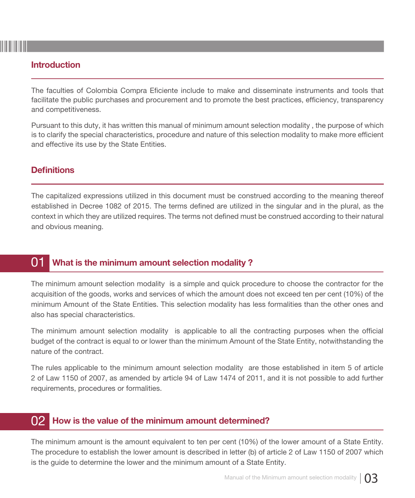#### Introduction

The faculties of Colombia Compra Eficiente include to make and disseminate instruments and tools that facilitate the public purchases and procurement and to promote the best practices, efficiency, transparency and competitiveness.

Pursuant to this duty, it has written this manual of minimum amount selection modality , the purpose of which is to clarify the special characteristics, procedure and nature of this selection modality to make more efficient and effective its use by the State Entities.

#### **Definitions**

The capitalized expressions utilized in this document must be construed according to the meaning thereof established in Decree 1082 of 2015. The terms defined are utilized in the singular and in the plural, as the context in which they are utilized requires. The terms not defined must be construed according to their natural and obvious meaning.

#### 01 What is the minimum amount selection modality ?

The minimum amount selection modality is a simple and quick procedure to choose the contractor for the acquisition of the goods, works and services of which the amount does not exceed ten per cent (10%) of the minimum Amount of the State Entities. This selection modality has less formalities than the other ones and also has special characteristics.

The minimum amount selection modality is applicable to all the contracting purposes when the official budget of the contract is equal to or lower than the minimum Amount of the State Entity, notwithstanding the nature of the contract.

The rules applicable to the minimum amount selection modality are those established in item 5 of article 2 of Law 1150 of 2007, as amended by article 94 of Law 1474 of 2011, and it is not possible to add further requirements, procedures or formalities.

#### 02 How is the value of the minimum amount determined?

The minimum amount is the amount equivalent to ten per cent (10%) of the lower amount of a State Entity. The procedure to establish the lower amount is described in letter (b) of article 2 of Law 1150 of 2007 which is the guide to determine the lower and the minimum amount of a State Entity.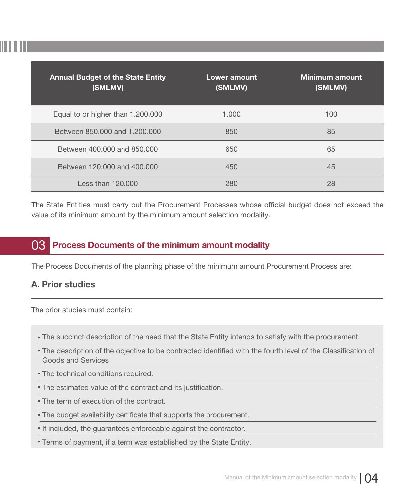

| <b>Annual Budget of the State Entity</b><br>(SMLMV) | Lower amount<br>(SMLMV) | Minimum amount<br>(SMLMV) |
|-----------------------------------------------------|-------------------------|---------------------------|
| Equal to or higher than 1.200.000                   | 1.000                   | 100                       |
| Between 850,000 and 1,200,000                       | 850                     | 85                        |
| Between 400,000 and 850,000                         | 650                     | 65                        |
| Between 120,000 and 400,000                         | 450                     | 45                        |
| Less than $120.000$                                 | 280                     | 28                        |

The State Entities must carry out the Procurement Processes whose official budget does not exceed the value of its minimum amount by the minimum amount selection modality.

#### 03 Process Documents of the minimum amount modality

The Process Documents of the planning phase of the minimum amount Procurement Process are:

#### A. Prior studies

The prior studies must contain:

- The succinct description of the need that the State Entity intends to satisfy with the procurement.
- The description of the objective to be contracted identified with the fourth level of the Classification of Goods and Services
- The technical conditions required.
- The estimated value of the contract and its justification.
- The term of execution of the contract.
- The budget availability certificate that supports the procurement.
- **If included, the guarantees enforceable against the contractor.**
- Terms of payment, if a term was established by the State Entity.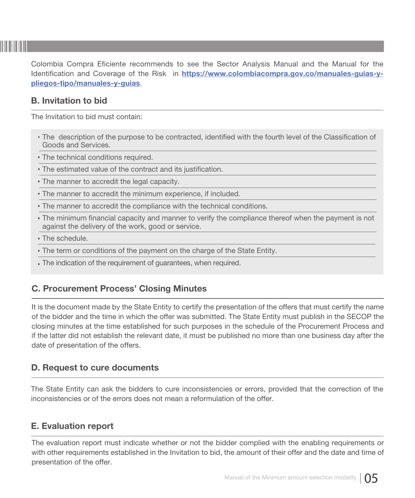Colombia Compra Eficiente recommends to see the Sector Analysis Manual and the Manual for the Identification and Coverage of the Risk in https://www.colombiacompra.gov.co/manuales-guias-ypliegos-tipo/manuales-y-guias.

#### B. Invitation to bid

The Invitation to bid must contain:

- The description of the purpose to be contracted, identified with the fourth level of the Classification of Goods and Services.
- The technical conditions required.
- The estimated value of the contract and its justification.
- The manner to accredit the legal capacity.
- The manner to accredit the minimum experience, if included.
- The manner to accredit the compliance with the technical conditions.
- The minimum financial capacity and manner to verify the compliance thereof when the payment is not against the delivery of the work, good or service.
- The schedule.
- The term or conditions of the payment on the charge of the State Entity.
- The indication of the requirement of guarantees, when required.

#### C. Procurement Process' Closing Minutes

It is the document made by the State Entity to certify the presentation of the offers that must certify the name of the bidder and the time in which the offer was submitted. The State Entity must publish in the SECOP the closing minutes at the time established for such purposes in the schedule of the Procurement Process and if the latter did not establish the relevant date, it must be published no more than one business day after the date of presentation of the offers.

#### D. Request to cure documents

The State Entity can ask the bidders to cure inconsistencies or errors, provided that the correction of the inconsistencies or of the errors does not mean a reformulation of the offer.

#### E. Evaluation report

The evaluation report must indicate whether or not the bidder complied with the enabling requirements or with other requirements established in the Invitation to bid, the amount of their offer and the date and time of presentation of the offer.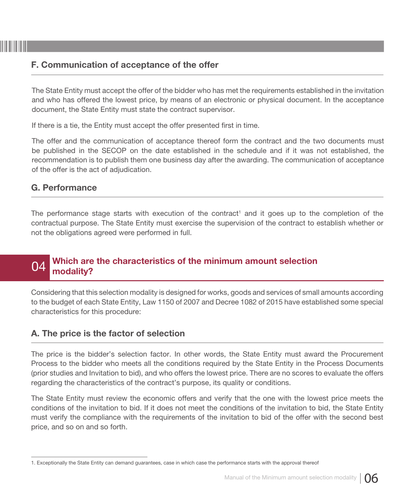#### F. Communication of acceptance of the offer

The State Entity must accept the offer of the bidder who has met the requirements established in the invitation and who has offered the lowest price, by means of an electronic or physical document. In the acceptance document, the State Entity must state the contract supervisor.

If there is a tie, the Entity must accept the offer presented first in time.

The offer and the communication of acceptance thereof form the contract and the two documents must be published in the SECOP on the date established in the schedule and if it was not established, the recommendation is to publish them one business day after the awarding. The communication of acceptance of the offer is the act of adjudication.

#### G. Performance

The performance stage starts with execution of the contract<sup>1</sup> and it goes up to the completion of the contractual purpose. The State Entity must exercise the supervision of the contract to establish whether or not the obligations agreed were performed in full.

#### 04 Which are the characteristics of the minimum amount selection modality?

Considering that this selection modality is designed for works, goods and services of small amounts according to the budget of each State Entity, Law 1150 of 2007 and Decree 1082 of 2015 have established some special characteristics for this procedure:

#### A. The price is the factor of selection

The price is the bidder's selection factor. In other words, the State Entity must award the Procurement Process to the bidder who meets all the conditions required by the State Entity in the Process Documents (prior studies and Invitation to bid), and who offers the lowest price. There are no scores to evaluate the offers regarding the characteristics of the contract's purpose, its quality or conditions.

The State Entity must review the economic offers and verify that the one with the lowest price meets the conditions of the invitation to bid. If it does not meet the conditions of the invitation to bid, the State Entity must verify the compliance with the requirements of the invitation to bid of the offer with the second best price, and so on and so forth.

<sup>1.</sup> Exceptionally the State Entity can demand guarantees, case in which case the performance starts with the approval thereof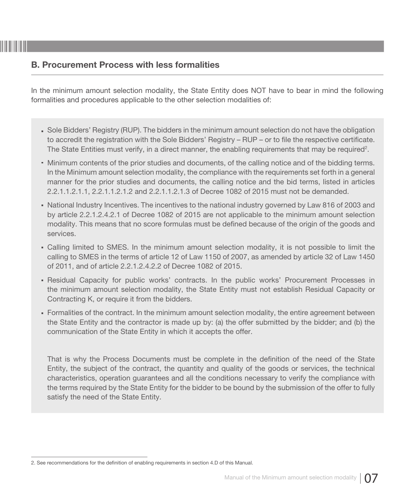#### B. Procurement Process with less formalities

In the minimum amount selection modality, the State Entity does NOT have to bear in mind the following formalities and procedures applicable to the other selection modalities of:

- Sole Bidders' Registry (RUP). The bidders in the minimum amount selection do not have the obligation to accredit the registration with the Sole Bidders' Registry – RUP – or to file the respective certificate. The State Entities must verify, in a direct manner, the enabling requirements that may be required<sup>2</sup>.
- Minimum contents of the prior studies and documents, of the calling notice and of the bidding terms. In the Minimum amount selection modality, the compliance with the requirements set forth in a general manner for the prior studies and documents, the calling notice and the bid terms, listed in articles 2.2.1.1.2.1.1, 2.2.1.1.2.1.2 and 2.2.1.1.2.1.3 of Decree 1082 of 2015 must not be demanded.
- National Industry Incentives. The incentives to the national industry governed by Law 816 of 2003 and by article 2.2.1.2.4.2.1 of Decree 1082 of 2015 are not applicable to the minimum amount selection modality. This means that no score formulas must be defined because of the origin of the goods and services.
- Calling limited to SMES. In the minimum amount selection modality, it is not possible to limit the calling to SMES in the terms of article 12 of Law 1150 of 2007, as amended by article 32 of Law 1450 of 2011, and of article 2.2.1.2.4.2.2 of Decree 1082 of 2015.
- Residual Capacity for public works' contracts. In the public works' Procurement Processes in the minimum amount selection modality, the State Entity must not establish Residual Capacity or Contracting K, or require it from the bidders.
- Formalities of the contract. In the minimum amount selection modality, the entire agreement between the State Entity and the contractor is made up by: (a) the offer submitted by the bidder; and (b) the communication of the State Entity in which it accepts the offer.

That is why the Process Documents must be complete in the definition of the need of the State Entity, the subject of the contract, the quantity and quality of the goods or services, the technical characteristics, operation guarantees and all the conditions necessary to verify the compliance with the terms required by the State Entity for the bidder to be bound by the submission of the offer to fully satisfy the need of the State Entity.

<sup>2.</sup> See recommendations for the definition of enabling requirements in section 4.D of this Manual.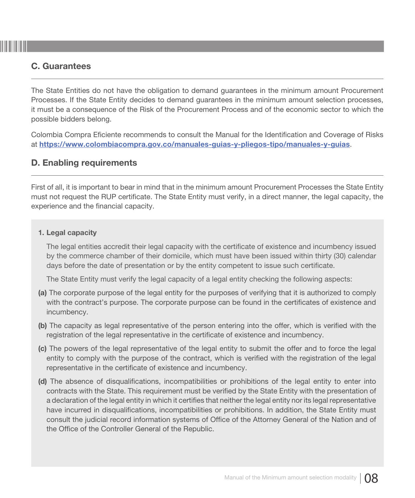#### C. Guarantees

The State Entities do not have the obligation to demand guarantees in the minimum amount Procurement Processes. If the State Entity decides to demand guarantees in the minimum amount selection processes, it must be a consequence of the Risk of the Procurement Process and of the economic sector to which the possible bidders belong.

Colombia Compra Eficiente recommends to consult the Manual for the Identification and Coverage of Risks at https://www.colombiacompra.gov.co/manuales-guias-y-pliegos-tipo/manuales-y-guias.

#### D. Enabling requirements

First of all, it is important to bear in mind that in the minimum amount Procurement Processes the State Entity must not request the RUP certificate. The State Entity must verify, in a direct manner, the legal capacity, the experience and the financial capacity.

#### 1. Legal capacity

The legal entities accredit their legal capacity with the certificate of existence and incumbency issued by the commerce chamber of their domicile, which must have been issued within thirty (30) calendar days before the date of presentation or by the entity competent to issue such certificate.

The State Entity must verify the legal capacity of a legal entity checking the following aspects:

- (a) The corporate purpose of the legal entity for the purposes of verifying that it is authorized to comply with the contract's purpose. The corporate purpose can be found in the certificates of existence and incumbency.
- (b) The capacity as legal representative of the person entering into the offer, which is verified with the registration of the legal representative in the certificate of existence and incumbency.
- (c) The powers of the legal representative of the legal entity to submit the offer and to force the legal entity to comply with the purpose of the contract, which is verified with the registration of the legal representative in the certificate of existence and incumbency.
- (d) The absence of disqualifications, incompatibilities or prohibitions of the legal entity to enter into contracts with the State. This requirement must be verified by the State Entity with the presentation of a declaration of the legal entity in which it certifies that neither the legal entity nor its legal representative have incurred in disqualifications, incompatibilities or prohibitions. In addition, the State Entity must consult the judicial record information systems of Office of the Attorney General of the Nation and of the Office of the Controller General of the Republic.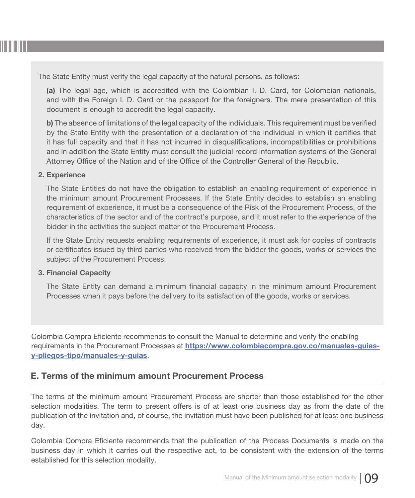

The State Entity must verify the legal capacity of the natural persons, as follows:

(a) The legal age, which is accredited with the Colombian I. D. Card, for Colombian nationals, and with the Foreign I. D. Card or the passport for the foreigners. The mere presentation of this document is enough to accredit the legal capacity.

b) The absence of limitations of the legal capacity of the individuals. This requirement must be verified by the State Entity with the presentation of a declaration of the individual in which it certifies that it has full capacity and that it has not incurred in disqualifications, incompatibilities or prohibitions and in addition the State Entity must consult the judicial record information systems of the General Attorney Office of the Nation and of the Office of the Controller General of the Republic.

#### 2. Experience

The State Entities do not have the obligation to establish an enabling requirement of experience in the minimum amount Procurement Processes. If the State Entity decides to establish an enabling requirement of experience, it must be a consequence of the Risk of the Procurement Process, of the characteristics of the sector and of the contract's purpose, and it must refer to the experience of the bidder in the activities the subject matter of the Procurement Process.

If the State Entity requests enabling requirements of experience, it must ask for copies of contracts or certificates issued by third parties who received from the bidder the goods, works or services the subject of the Procurement Process.

#### 3. Financial Capacity

The State Entity can demand a minimum financial capacity in the minimum amount Procurement Processes when it pays before the delivery to its satisfaction of the goods, works or services.

Colombia Compra Eficiente recommends to consult the Manual to determine and verify the enabling requirements in the Procurement Processes at https://www.colombiacompra.gov.co/manuales-guiasy-pliegos-tipo/manuales-y-guias.

#### E. Terms of the minimum amount Procurement Process

The terms of the minimum amount Procurement Process are shorter than those established for the other selection modalities. The term to present offers is of at least one business day as from the date of the publication of the invitation and, of course, the invitation must have been published for at least one business day.

Colombia Compra Eficiente recommends that the publication of the Process Documents is made on the business day in which it carries out the respective act, to be consistent with the extension of the terms established for this selection modality.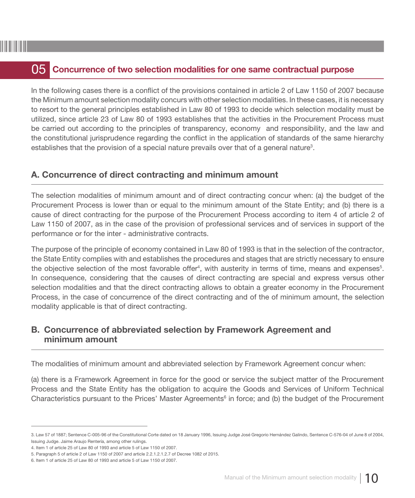### **05** Concurrence of two selection modalities for one same contractual purpose

In the following cases there is a conflict of the provisions contained in article 2 of Law 1150 of 2007 because the Minimum amount selection modality concurs with other selection modalities. In these cases, it is necessary to resort to the general principles established in Law 80 of 1993 to decide which selection modality must be utilized, since article 23 of Law 80 of 1993 establishes that the activities in the Procurement Process must be carried out according to the principles of transparency, economy and responsibility, and the law and the constitutional jurisprudence regarding the conflict in the application of standards of the same hierarchy establishes that the provision of a special nature prevails over that of a general nature<sup>3</sup>.

#### A. Concurrence of direct contracting and minimum amount

The selection modalities of minimum amount and of direct contracting concur when: (a) the budget of the Procurement Process is lower than or equal to the minimum amount of the State Entity; and (b) there is a cause of direct contracting for the purpose of the Procurement Process according to item 4 of article 2 of Law 1150 of 2007, as in the case of the provision of professional services and of services in support of the performance or for the inter - administrative contracts.

The purpose of the principle of economy contained in Law 80 of 1993 is that in the selection of the contractor, the State Entity complies with and establishes the procedures and stages that are strictly necessary to ensure the objective selection of the most favorable offer<sup>4</sup>, with austerity in terms of time, means and expenses<sup>5</sup>. In consequence, considering that the causes of direct contracting are special and express versus other selection modalities and that the direct contracting allows to obtain a greater economy in the Procurement Process, in the case of concurrence of the direct contracting and of the of minimum amount, the selection modality applicable is that of direct contracting.

#### B. Concurrence of abbreviated selection by Framework Agreement and minimum amount

The modalities of minimum amount and abbreviated selection by Framework Agreement concur when:

(a) there is a Framework Agreement in force for the good or service the subject matter of the Procurement Process and the State Entity has the obligation to acquire the Goods and Services of Uniform Technical Characteristics pursuant to the Prices' Master Agreements<sup>6</sup> in force; and (b) the budget of the Procurement

<sup>3.</sup> Law 57 of 1887; Sentence C-005-96 of the Constitutional Corte dated on 18 January 1996, Issuing Judge José Gregorio Hernández Galindo, Sentence C-576-04 of June 8 of 2004, Issuing Judge. Jaime Araujo Rentería, among other rulings.

<sup>4.</sup> Item 1 of article 25 of Law 80 of 1993 and article 5 of Law 1150 of 2007.

<sup>5.</sup> Paragraph 5 of article 2 of Law 1150 of 2007 and article 2.2.1.2.1.2.7 of Decree 1082 of 2015.

<sup>6.</sup> Item 1 of article 25 of Law 80 of 1993 and article 5 of Law 1150 of 2007.